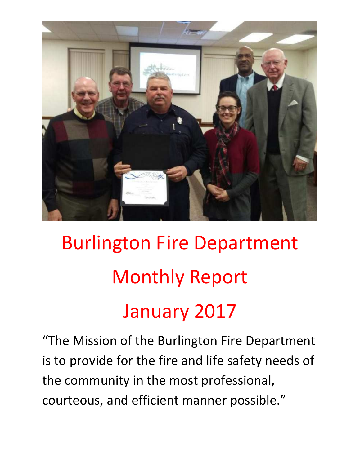

# Burlington Fire Department Monthly Report January 2017

"The Mission of the Burlington Fire Department is to provide for the fire and life safety needs of the community in the most professional, courteous, and efficient manner possible."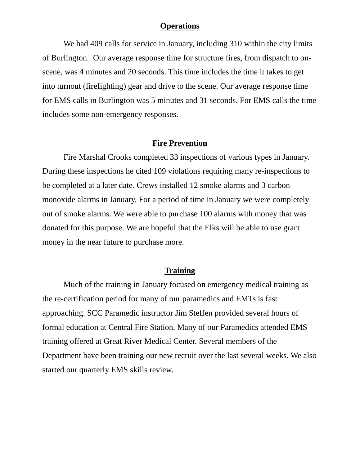#### **Operations**

We had 409 calls for service in January, including 310 within the city limits of Burlington. Our average response time for structure fires, from dispatch to onscene, was 4 minutes and 20 seconds. This time includes the time it takes to get into turnout (firefighting) gear and drive to the scene. Our average response time for EMS calls in Burlington was 5 minutes and 31 seconds. For EMS calls the time includes some non-emergency responses.

#### **Fire Prevention**

Fire Marshal Crooks completed 33 inspections of various types in January. During these inspections he cited 109 violations requiring many re-inspections to be completed at a later date. Crews installed 12 smoke alarms and 3 carbon monoxide alarms in January. For a period of time in January we were completely out of smoke alarms. We were able to purchase 100 alarms with money that was donated for this purpose. We are hopeful that the Elks will be able to use grant money in the near future to purchase more.

#### **Training**

 Much of the training in January focused on emergency medical training as the re-certification period for many of our paramedics and EMTs is fast approaching. SCC Paramedic instructor Jim Steffen provided several hours of formal education at Central Fire Station. Many of our Paramedics attended EMS training offered at Great River Medical Center. Several members of the Department have been training our new recruit over the last several weeks. We also started our quarterly EMS skills review.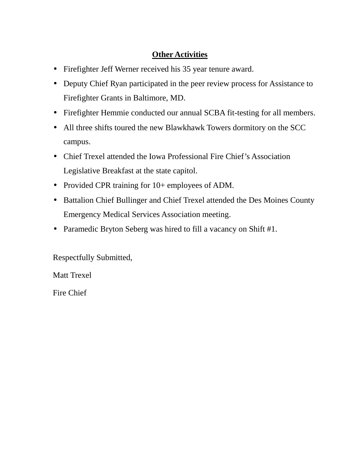## **Other Activities**

- Firefighter Jeff Werner received his 35 year tenure award.
- Deputy Chief Ryan participated in the peer review process for Assistance to Firefighter Grants in Baltimore, MD.
- Firefighter Hemmie conducted our annual SCBA fit-testing for all members.
- All three shifts toured the new Blawkhawk Towers dormitory on the SCC campus.
- Chief Trexel attended the Iowa Professional Fire Chief's Association Legislative Breakfast at the state capitol.
- Provided CPR training for 10+ employees of ADM.
- Battalion Chief Bullinger and Chief Trexel attended the Des Moines County Emergency Medical Services Association meeting.
- Paramedic Bryton Seberg was hired to fill a vacancy on Shift #1.

Respectfully Submitted,

Matt Trexel

Fire Chief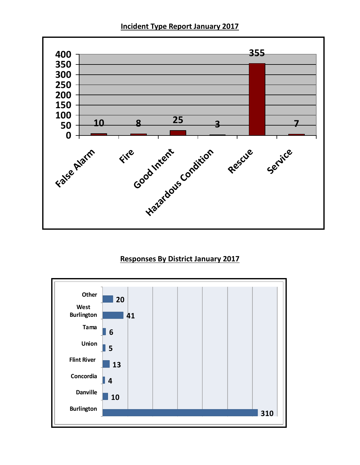**Incident Type Report January 2017** 



### **Responses By District January 2017**

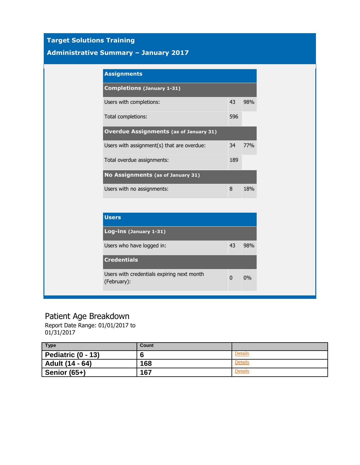## **Target Solutions Training**

#### **Administrative Summary – January 2017**

| <b>Assignments</b>                            |     |     |  |
|-----------------------------------------------|-----|-----|--|
| <b>Completions (January 1-31)</b>             |     |     |  |
| Users with completions:                       | 43  | 98% |  |
| Total completions:                            | 596 |     |  |
| <b>Overdue Assignments (as of January 31)</b> |     |     |  |
| Users with assignment(s) that are overdue:    | 34  | 77% |  |
| Total overdue assignments:                    | 189 |     |  |
| No Assignments (as of January 31)             |     |     |  |
| Users with no assignments:                    | 8   | 18% |  |

| <b>Users</b>                                              |              |     |
|-----------------------------------------------------------|--------------|-----|
| Log-ins (January 1-31)                                    |              |     |
| Users who have logged in:                                 | 43           | 98% |
| <b>Credentials</b>                                        |              |     |
| Users with credentials expiring next month<br>(February): | <sup>0</sup> | 0%  |

# Patient Age Breakdown

Report Date Range: 01/01/2017 to 01/31/2017

| <b>Type</b>        | Count |                |
|--------------------|-------|----------------|
| Pediatric (0 - 13) | n     | <b>Details</b> |
| Adult (14 - 64)    | 168   | <b>Details</b> |
| Senior (65+)       | 167   | <b>Details</b> |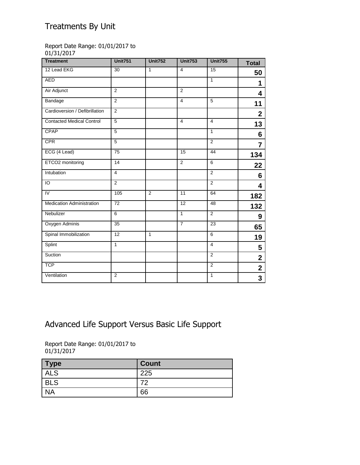# Treatments By Unit

#### Report Date Range: 01/01/2017 to 01/31/2017

| <b>Treatment</b>                 | <b>Unit751</b>  | <b>Unit752</b> | <b>Unit753</b>  | <b>Unit755</b> | <b>Total</b>            |
|----------------------------------|-----------------|----------------|-----------------|----------------|-------------------------|
| 12 Lead EKG                      | 30              | $\mathbf{1}$   | $\overline{4}$  | 15             | 50                      |
| <b>AED</b>                       |                 |                |                 | $\mathbf{1}$   | 1                       |
| Air Adjunct                      | $\overline{2}$  |                | $\overline{2}$  |                | 4                       |
| Bandage                          | 2               |                | 4               | 5              | 11                      |
| Cardioversion / Defibrillation   | $\overline{2}$  |                |                 |                | $\overline{\mathbf{2}}$ |
| <b>Contacted Medical Control</b> | $\overline{5}$  |                | $\overline{4}$  | $\overline{4}$ | 13                      |
| CPAP                             | 5               |                |                 | $\mathbf{1}$   | 6                       |
| <b>CPR</b>                       | $\overline{5}$  |                |                 | 2              | $\overline{7}$          |
| ECG (4 Lead)                     | $\overline{75}$ |                | $\overline{15}$ | 44             | 134                     |
| ETCO2 monitoring                 | 14              |                | 2               | 6              | 22                      |
| Intubation                       | $\overline{4}$  |                |                 | 2              | 6                       |
| $\overline{0}$                   | $\overline{2}$  |                |                 | $\overline{2}$ | 4                       |
| IV                               | 105             | $\overline{2}$ | 11              | 64             | 182                     |
| <b>Medication Administration</b> | 72              |                | 12              | 48             | 132                     |
| Nebulizer                        | $\overline{6}$  |                | $\overline{1}$  | $\overline{2}$ | 9                       |
| Oxygen Adminis                   | 35              |                | $\overline{7}$  | 23             | 65                      |
| Spinal Immobilization            | 12              | $\mathbf{1}$   |                 | 6              | 19                      |
| Splint                           | $\overline{1}$  |                |                 | $\overline{4}$ | 5                       |
| Suction                          |                 |                |                 | $\overline{2}$ | $\overline{\mathbf{2}}$ |
| <b>TCP</b>                       |                 |                |                 | $\overline{2}$ | $\overline{\mathbf{2}}$ |
| Ventilation                      | 2               |                |                 | 1              | 3                       |

# Advanced Life Support Versus Basic Life Support

Report Date Range: 01/01/2017 to 01/31/2017

| Type       | <b>Count</b> |
|------------|--------------|
| <b>ALS</b> | 225          |
| <b>BLS</b> |              |
| <b>NA</b>  | 66           |